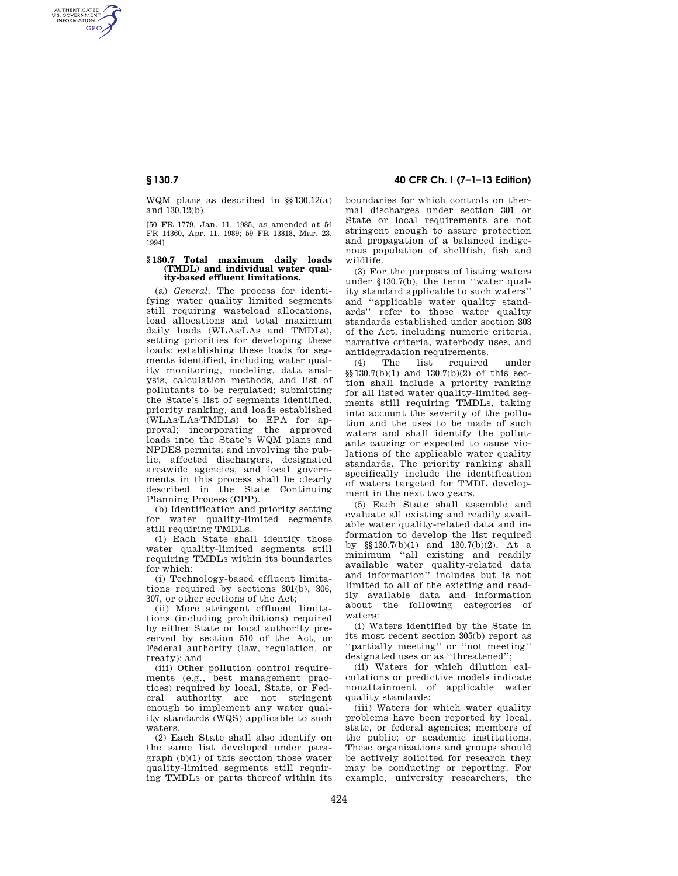AUTHENTICATED<br>U.S. GOVERNMENT<br>INFORMATION **GPO** 

> WQM plans as described in §§130.12(a) and 130.12(b).

> [50 FR 1779, Jan. 11, 1985, as amended at 54 FR 14360, Apr. 11, 1989; 59 FR 13818, Mar. 23, 1994]

#### **§ 130.7 Total maximum daily loads (TMDL) and individual water quality-based effluent limitations.**

(a) *General.* The process for identifying water quality limited segments still requiring wasteload allocations, load allocations and total maximum daily loads (WLAs/LAs and TMDLs), setting priorities for developing these loads; establishing these loads for segments identified, including water quality monitoring, modeling, data analysis, calculation methods, and list of pollutants to be regulated; submitting the State's list of segments identified, priority ranking, and loads established (WLAs/LAs/TMDLs) to EPA for approval; incorporating the approved loads into the State's WQM plans and NPDES permits; and involving the public, affected dischargers, designated areawide agencies, and local governments in this process shall be clearly described in the State Continuing Planning Process (CPP).

(b) Identification and priority setting for water quality-limited segments still requiring TMDLs.

(1) Each State shall identify those water quality-limited segments still requiring TMDLs within its boundaries for which:

(i) Technology-based effluent limitations required by sections 301(b), 306, 307, or other sections of the Act;

(ii) More stringent effluent limitations (including prohibitions) required by either State or local authority preserved by section 510 of the Act, or Federal authority (law, regulation, or treaty); and

(iii) Other pollution control requirements (e.g., best management practices) required by local, State, or Federal authority are not stringent enough to implement any water quality standards (WQS) applicable to such waters.

(2) Each State shall also identify on the same list developed under paragraph (b)(1) of this section those water quality-limited segments still requiring TMDLs or parts thereof within its

# **§ 130.7 40 CFR Ch. I (7–1–13 Edition)**

boundaries for which controls on thermal discharges under section 301 or State or local requirements are not stringent enough to assure protection and propagation of a balanced indigenous population of shellfish, fish and wildlife.

(3) For the purposes of listing waters under §130.7(b), the term ''water quality standard applicable to such waters'' and ''applicable water quality standards'' refer to those water quality standards established under section 303 of the Act, including numeric criteria, narrative criteria, waterbody uses, and antidegradation requirements.

(4) The list required under §§130.7(b)(1) and 130.7(b)(2) of this section shall include a priority ranking for all listed water quality-limited segments still requiring TMDLs, taking into account the severity of the pollution and the uses to be made of such waters and shall identify the pollutants causing or expected to cause violations of the applicable water quality standards. The priority ranking shall specifically include the identification of waters targeted for TMDL development in the next two years.

(5) Each State shall assemble and evaluate all existing and readily available water quality-related data and information to develop the list required by §§130.7(b)(1) and 130.7(b)(2). At a minimum ''all existing and readily available water quality-related data and information'' includes but is not limited to all of the existing and readily available data and information about the following categories of waters:

(i) Waters identified by the State in its most recent section 305(b) report as ''partially meeting'' or ''not meeting'' designated uses or as ''threatened'';

(ii) Waters for which dilution calculations or predictive models indicate nonattainment of applicable water quality standards;

(iii) Waters for which water quality problems have been reported by local, state, or federal agencies; members of the public; or academic institutions. These organizations and groups should be actively solicited for research they may be conducting or reporting. For example, university researchers, the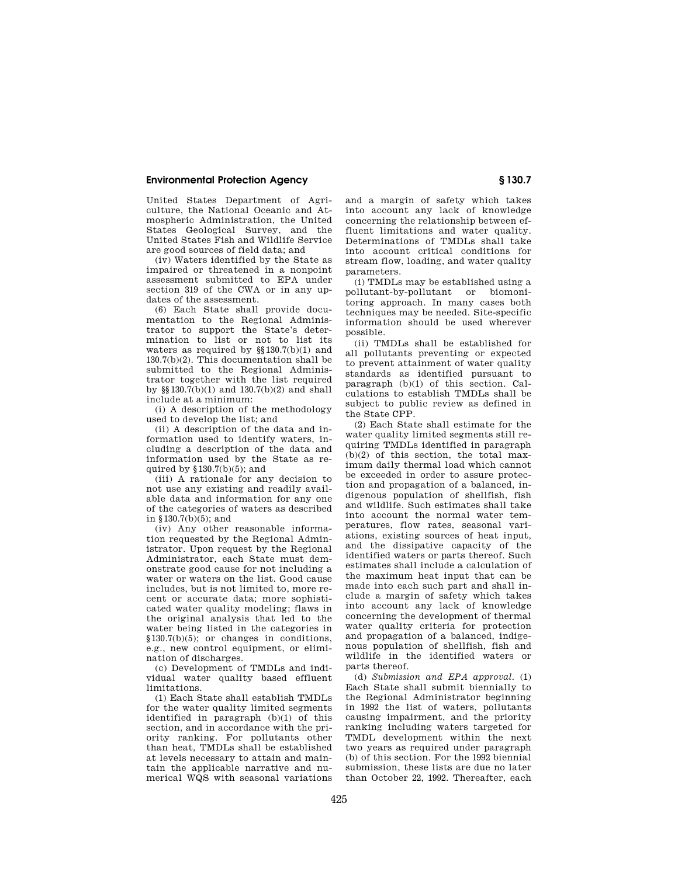## **Environmental Protection Agency § 130.7**

United States Department of Agriculture, the National Oceanic and Atmospheric Administration, the United States Geological Survey, and the United States Fish and Wildlife Service are good sources of field data; and

(iv) Waters identified by the State as impaired or threatened in a nonpoint assessment submitted to EPA under section 319 of the CWA or in any updates of the assessment.

(6) Each State shall provide documentation to the Regional Administrator to support the State's determination to list or not to list its waters as required by  $\S(130.7(b)(1))$  and 130.7(b)(2). This documentation shall be submitted to the Regional Administrator together with the list required by §§130.7(b)(1) and 130.7(b)(2) and shall include at a minimum:

(i) A description of the methodology used to develop the list; and

(ii) A description of the data and information used to identify waters, including a description of the data and information used by the State as required by §130.7(b)(5); and

(iii) A rationale for any decision to not use any existing and readily available data and information for any one of the categories of waters as described in §130.7(b)(5); and

(iv) Any other reasonable information requested by the Regional Administrator. Upon request by the Regional Administrator, each State must demonstrate good cause for not including a water or waters on the list. Good cause includes, but is not limited to, more recent or accurate data; more sophisticated water quality modeling; flaws in the original analysis that led to the water being listed in the categories in §130.7(b)(5); or changes in conditions, e.g., new control equipment, or elimination of discharges.

(c) Development of TMDLs and individual water quality based effluent limitations.

(1) Each State shall establish TMDLs for the water quality limited segments identified in paragraph (b)(1) of this section, and in accordance with the priority ranking. For pollutants other than heat, TMDLs shall be established at levels necessary to attain and maintain the applicable narrative and numerical WQS with seasonal variations

and a margin of safety which takes into account any lack of knowledge concerning the relationship between effluent limitations and water quality. Determinations of TMDLs shall take into account critical conditions for stream flow, loading, and water quality parameters.

(i) TMDLs may be established using a pollutant-by-pollutant or biomonitoring approach. In many cases both techniques may be needed. Site-specific information should be used wherever possible.

(ii) TMDLs shall be established for all pollutants preventing or expected to prevent attainment of water quality standards as identified pursuant to paragraph (b)(1) of this section. Calculations to establish TMDLs shall be subject to public review as defined in the State CPP.

(2) Each State shall estimate for the water quality limited segments still requiring TMDLs identified in paragraph (b)(2) of this section, the total maximum daily thermal load which cannot be exceeded in order to assure protection and propagation of a balanced, indigenous population of shellfish, fish and wildlife. Such estimates shall take into account the normal water temperatures, flow rates, seasonal variations, existing sources of heat input, and the dissipative capacity of the identified waters or parts thereof. Such estimates shall include a calculation of the maximum heat input that can be made into each such part and shall include a margin of safety which takes into account any lack of knowledge concerning the development of thermal water quality criteria for protection and propagation of a balanced, indigenous population of shellfish, fish and wildlife in the identified waters or parts thereof.

(d) *Submission and EPA approval.* (1) Each State shall submit biennially to the Regional Administrator beginning in 1992 the list of waters, pollutants causing impairment, and the priority ranking including waters targeted for TMDL development within the next two years as required under paragraph (b) of this section. For the 1992 biennial submission, these lists are due no later than October 22, 1992. Thereafter, each